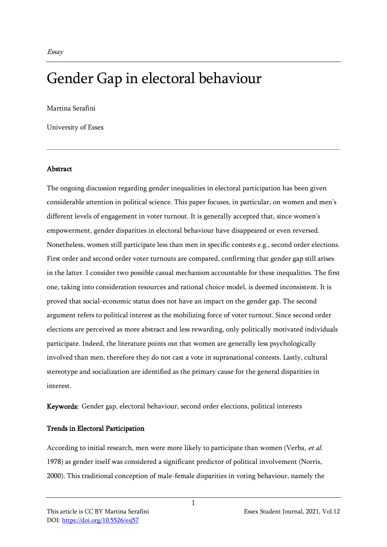# Gender Gap in electoral behaviour

Martina Serafini

University of Essex

### **Abstract**

The ongoing discussion regarding gender inequalities in electoral participation has been given considerable attention in political science. This paper focuses, in particular, on women and men's different levels of engagement in voter turnout. It is generally accepted that, since women's empowerment, gender disparities in electoral behaviour have disappeared or even reversed. Nonetheless, women still participate less than men in specific contests e.g., second order elections. First order and second order voter turnouts are compared, confirming that gender gap still arises in the latter. I consider two possible casual mechanism accountable for these inequalities. The first one, taking into consideration resources and rational choice model, is deemed inconsistent. It is proved that social-economic status does not have an impact on the gender gap. The second argument refers to political interest as the mobilizing force of voter turnout. Since second order elections are perceived as more abstract and less rewarding, only politically motivated individuals participate. Indeed, the literature points out that women are generally less psychologically involved than men, therefore they do not cast a vote in supranational contests. Lastly, cultural stereotype and socialization are identified as the primary cause for the general disparities in interest.

Keywords: Gender gap, electoral behaviour, second order elections, political interests

# Trends in Electoral Participation

According to initial research, men were more likely to participate than women (Verba, et al. 1978) as gender itself was considered a significant predictor of political involvement (Norris, 2000). This traditional conception of male-female disparities in voting behaviour, namely the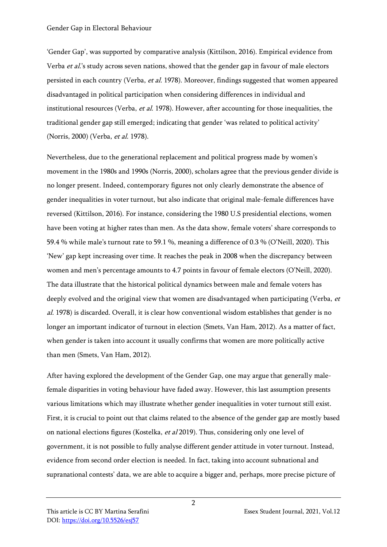'Gender Gap', was supported by comparative analysis (Kittilson, 2016). Empirical evidence from Verba et al.'s study across seven nations, showed that the gender gap in favour of male electors persisted in each country (Verba, et al. 1978). Moreover, findings suggested that women appeared disadvantaged in political participation when considering differences in individual and institutional resources (Verba, et al. 1978). However, after accounting for those inequalities, the traditional gender gap still emerged; indicating that gender 'was related to political activity' (Norris, 2000) (Verba, et al. 1978).

Nevertheless, due to the generational replacement and political progress made by women's movement in the 1980s and 1990s (Norris, 2000), scholars agree that the previous gender divide is no longer present. Indeed, contemporary figures not only clearly demonstrate the absence of gender inequalities in voter turnout, but also indicate that original male-female differences have reversed (Kittilson, 2016). For instance, considering the 1980 U.S presidential elections, women have been voting at higher rates than men. As the data show, female voters' share corresponds to 59.4 % while male's turnout rate to 59.1 %, meaning a difference of 0.3 % (O'Neill, 2020). This 'New' gap kept increasing over time. It reaches the peak in 2008 when the discrepancy between women and men's percentage amounts to 4.7 points in favour of female electors (O'Neill, 2020). The data illustrate that the historical political dynamics between male and female voters has deeply evolved and the original view that women are disadvantaged when participating (Verba, et al. 1978) is discarded. Overall, it is clear how conventional wisdom establishes that gender is no longer an important indicator of turnout in election (Smets, Van Ham, 2012). As a matter of fact, when gender is taken into account it usually confirms that women are more politically active than men (Smets, Van Ham, 2012).

After having explored the development of the Gender Gap, one may argue that generally malefemale disparities in voting behaviour have faded away. However, this last assumption presents various limitations which may illustrate whether gender inequalities in voter turnout still exist. First, it is crucial to point out that claims related to the absence of the gender gap are mostly based on national elections figures (Kostelka, et al 2019). Thus, considering only one level of government, it is not possible to fully analyse different gender attitude in voter turnout. Instead, evidence from second order election is needed. In fact, taking into account subnational and supranational contests' data, we are able to acquire a bigger and, perhaps, more precise picture of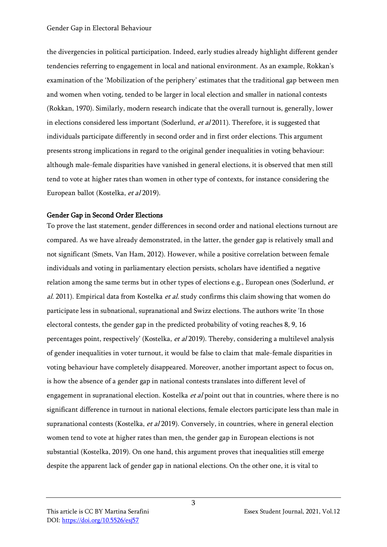the divergencies in political participation. Indeed, early studies already highlight different gender tendencies referring to engagement in local and national environment. As an example, Rokkan's examination of the 'Mobilization of the periphery' estimates that the traditional gap between men and women when voting, tended to be larger in local election and smaller in national contests (Rokkan, 1970). Similarly, modern research indicate that the overall turnout is, generally, lower in elections considered less important (Soderlund,  $et$  al 2011). Therefore, it is suggested that individuals participate differently in second order and in first order elections. This argument presents strong implications in regard to the original gender inequalities in voting behaviour: although male-female disparities have vanished in general elections, it is observed that men still tend to vote at higher rates than women in other type of contexts, for instance considering the European ballot (Kostelka, et al 2019).

# Gender Gap in Second Order Elections

To prove the last statement, gender differences in second order and national elections turnout are compared. As we have already demonstrated, in the latter, the gender gap is relatively small and not significant (Smets, Van Ham, 2012). However, while a positive correlation between female individuals and voting in parliamentary election persists, scholars have identified a negative relation among the same terms but in other types of elections e.g., European ones (Soderlund, et al. 2011). Empirical data from Kostelka *et al.* study confirms this claim showing that women do participate less in subnational, supranational and Swizz elections. The authors write 'In those electoral contests, the gender gap in the predicted probability of voting reaches 8, 9, 16 percentages point, respectively' (Kostelka, et al 2019). Thereby, considering a multilevel analysis of gender inequalities in voter turnout, it would be false to claim that male-female disparities in voting behaviour have completely disappeared. Moreover, another important aspect to focus on, is how the absence of a gender gap in national contests translates into different level of engagement in supranational election. Kostelka *et al* point out that in countries, where there is no significant difference in turnout in national elections, female electors participate less than male in supranational contests (Kostelka, et al 2019). Conversely, in countries, where in general election women tend to vote at higher rates than men, the gender gap in European elections is not substantial (Kostelka, 2019). On one hand, this argument proves that inequalities still emerge despite the apparent lack of gender gap in national elections. On the other one, it is vital to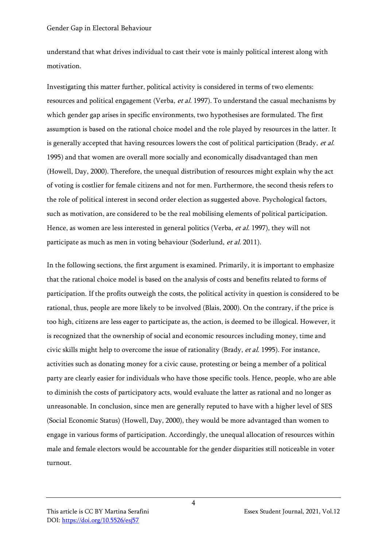understand that what drives individual to cast their vote is mainly political interest along with motivation.

Investigating this matter further, political activity is considered in terms of two elements: resources and political engagement (Verba, et al. 1997). To understand the casual mechanisms by which gender gap arises in specific environments, two hypothesises are formulated. The first assumption is based on the rational choice model and the role played by resources in the latter. It is generally accepted that having resources lowers the cost of political participation (Brady, et al. 1995) and that women are overall more socially and economically disadvantaged than men (Howell, Day, 2000). Therefore, the unequal distribution of resources might explain why the act of voting is costlier for female citizens and not for men. Furthermore, the second thesis refers to the role of political interest in second order election as suggested above. Psychological factors, such as motivation, are considered to be the real mobilising elements of political participation. Hence, as women are less interested in general politics (Verba, et al. 1997), they will not participate as much as men in voting behaviour (Soderlund, et al. 2011).

In the following sections, the first argument is examined. Primarily, it is important to emphasize that the rational choice model is based on the analysis of costs and benefits related to forms of participation. If the profits outweigh the costs, the political activity in question is considered to be rational, thus, people are more likely to be involved (Blais, 2000). On the contrary, if the price is too high, citizens are less eager to participate as, the action, is deemed to be illogical. However, it is recognized that the ownership of social and economic resources including money, time and civic skills might help to overcome the issue of rationality (Brady, et al. 1995). For instance, activities such as donating money for a civic cause, protesting or being a member of a political party are clearly easier for individuals who have those specific tools. Hence, people, who are able to diminish the costs of participatory acts, would evaluate the latter as rational and no longer as unreasonable. In conclusion, since men are generally reputed to have with a higher level of SES (Social Economic Status) (Howell, Day, 2000), they would be more advantaged than women to engage in various forms of participation. Accordingly, the unequal allocation of resources within male and female electors would be accountable for the gender disparities still noticeable in voter turnout.

4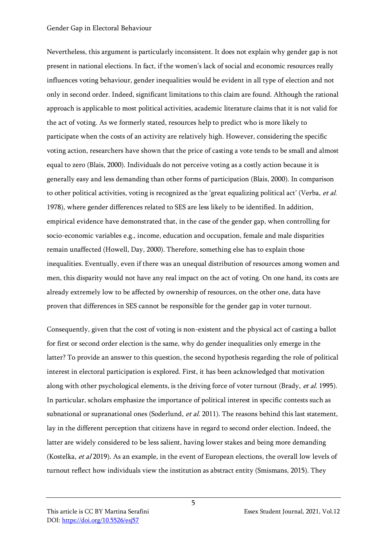#### Gender Gap in Electoral Behaviour

Nevertheless, this argument is particularly inconsistent. It does not explain why gender gap is not present in national elections. In fact, if the women's lack of social and economic resources really influences voting behaviour, gender inequalities would be evident in all type of election and not only in second order. Indeed, significant limitations to this claim are found. Although the rational approach is applicable to most political activities, academic literature claims that it is not valid for the act of voting. As we formerly stated, resources help to predict who is more likely to participate when the costs of an activity are relatively high. However, considering the specific voting action, researchers have shown that the price of casting a vote tends to be small and almost equal to zero (Blais, 2000). Individuals do not perceive voting as a costly action because it is generally easy and less demanding than other forms of participation (Blais, 2000). In comparison to other political activities, voting is recognized as the 'great equalizing political act' (Verba, et al. 1978), where gender differences related to SES are less likely to be identified. In addition, empirical evidence have demonstrated that, in the case of the gender gap, when controlling for socio-economic variables e.g., income, education and occupation, female and male disparities remain unaffected (Howell, Day, 2000). Therefore, something else has to explain those inequalities. Eventually, even if there was an unequal distribution of resources among women and men, this disparity would not have any real impact on the act of voting. On one hand, its costs are already extremely low to be affected by ownership of resources, on the other one, data have proven that differences in SES cannot be responsible for the gender gap in voter turnout.

Consequently, given that the cost of voting is non-existent and the physical act of casting a ballot for first or second order election is the same, why do gender inequalities only emerge in the latter? To provide an answer to this question, the second hypothesis regarding the role of political interest in electoral participation is explored. First, it has been acknowledged that motivation along with other psychological elements, is the driving force of voter turnout (Brady, et al. 1995). In particular, scholars emphasize the importance of political interest in specific contests such as subnational or supranational ones (Soderlund, et al. 2011). The reasons behind this last statement, lay in the different perception that citizens have in regard to second order election. Indeed, the latter are widely considered to be less salient, having lower stakes and being more demanding (Kostelka, et al 2019). As an example, in the event of European elections, the overall low levels of turnout reflect how individuals view the institution as abstract entity (Smismans, 2015). They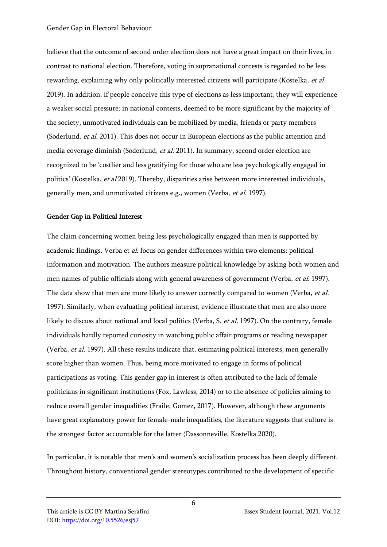believe that the outcome of second order election does not have a great impact on their lives, in contrast to national election. Therefore, voting in supranational contests is regarded to be less rewarding, explaining why only politically interested citizens will participate (Kostelka, et al. 2019). In addition, if people conceive this type of elections as less important, they will experience a weaker social pressure: in national contests, deemed to be more significant by the majority of the society, unmotivated individuals can be mobilized by media, friends or party members (Soderlund, et al. 2011). This does not occur in European elections as the public attention and media coverage diminish (Soderlund, et al. 2011). In summary, second order election are recognized to be 'costlier and less gratifying for those who are less psychologically engaged in politics' (Kostelka, et al 2019). Thereby, disparities arise between more interested individuals, generally men, and unmotivated citizens e.g., women (Verba, et al. 1997).

# Gender Gap in Political Interest

The claim concerning women being less psychologically engaged than men is supported by academic findings. Verba et al. focus on gender differences within two elements: political information and motivation. The authors measure political knowledge by asking both women and men names of public officials along with general awareness of government (Verba, et al. 1997). The data show that men are more likely to answer correctly compared to women (Verba, et al. 1997). Similarly, when evaluating political interest, evidence illustrate that men are also more likely to discuss about national and local politics (Verba, S. et al. 1997). On the contrary, female individuals hardly reported curiosity in watching public affair programs or reading newspaper (Verba, et al. 1997). All these results indicate that, estimating political interests, men generally score higher than women. Thus, being more motivated to engage in forms of political participations as voting. This gender gap in interest is often attributed to the lack of female politicians in significant institutions (Fox, Lawless, 2014) or to the absence of policies aiming to reduce overall gender inequalities (Fraile, Gomez, 2017). However, although these arguments have great explanatory power for female-male inequalities, the literature suggests that culture is the strongest factor accountable for the latter (Dassonneville, Kostelka 2020).

In particular, it is notable that men's and women's socialization process has been deeply different. Throughout history, conventional gender stereotypes contributed to the development of specific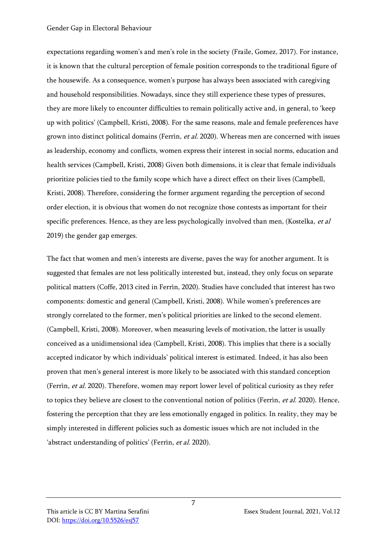#### Gender Gap in Electoral Behaviour

expectations regarding women's and men's role in the society (Fraile, Gomez, 2017). For instance, it is known that the cultural perception of female position corresponds to the traditional figure of the housewife. As a consequence, women's purpose has always been associated with caregiving and household responsibilities. Nowadays, since they still experience these types of pressures, they are more likely to encounter difficulties to remain politically active and, in general, to 'keep up with politics' (Campbell, Kristi, 2008). For the same reasons, male and female preferences have grown into distinct political domains (Ferrìn, et al. 2020). Whereas men are concerned with issues as leadership, economy and conflicts, women express their interest in social norms, education and health services (Campbell, Kristi, 2008) Given both dimensions, it is clear that female individuals prioritize policies tied to the family scope which have a direct effect on their lives (Campbell, Kristi, 2008). Therefore, considering the former argument regarding the perception of second order election, it is obvious that women do not recognize those contests as important for their specific preferences. Hence, as they are less psychologically involved than men, (Kostelka, et al 2019) the gender gap emerges.

The fact that women and men's interests are diverse, paves the way for another argument. It is suggested that females are not less politically interested but, instead, they only focus on separate political matters (Coffe, 2013 cited in Ferrìn, 2020). Studies have concluded that interest has two components: domestic and general (Campbell, Kristi, 2008). While women's preferences are strongly correlated to the former, men's political priorities are linked to the second element. (Campbell, Kristi, 2008). Moreover, when measuring levels of motivation, the latter is usually conceived as a unidimensional idea (Campbell, Kristi, 2008). This implies that there is a socially accepted indicator by which individuals' political interest is estimated. Indeed, it has also been proven that men's general interest is more likely to be associated with this standard conception (Ferrìn, et al. 2020). Therefore, women may report lower level of political curiosity as they refer to topics they believe are closest to the conventional notion of politics (Ferrìn, *et al.* 2020). Hence, fostering the perception that they are less emotionally engaged in politics. In reality, they may be simply interested in different policies such as domestic issues which are not included in the 'abstract understanding of politics' (Ferrìn, et al. 2020).

7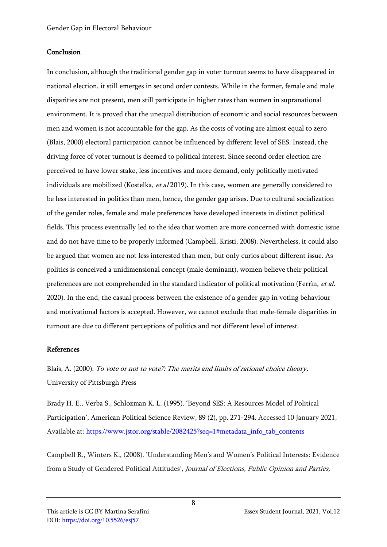# **Conclusion**

In conclusion, although the traditional gender gap in voter turnout seems to have disappeared in national election, it still emerges in second order contests. While in the former, female and male disparities are not present, men still participate in higher rates than women in supranational environment. It is proved that the unequal distribution of economic and social resources between men and women is not accountable for the gap. As the costs of voting are almost equal to zero (Blais, 2000) electoral participation cannot be influenced by different level of SES. Instead, the driving force of voter turnout is deemed to political interest. Since second order election are perceived to have lower stake, less incentives and more demand, only politically motivated individuals are mobilized (Kostelka, et al 2019). In this case, women are generally considered to be less interested in politics than men, hence, the gender gap arises. Due to cultural socialization of the gender roles, female and male preferences have developed interests in distinct political fields. This process eventually led to the idea that women are more concerned with domestic issue and do not have time to be properly informed (Campbell, Kristi, 2008). Nevertheless, it could also be argued that women are not less interested than men, but only curios about different issue. As politics is conceived a unidimensional concept (male dominant), women believe their political preferences are not comprehended in the standard indicator of political motivation (Ferrìn, et al. 2020). In the end, the casual process between the existence of a gender gap in voting behaviour and motivational factors is accepted. However, we cannot exclude that male-female disparities in turnout are due to different perceptions of politics and not different level of interest.

# References

Blais, A. (2000). To vote or not to vote?: The merits and limits of rational choice theory. University of Pittsburgh Press

Brady H. E., Verba S., Schlozman K. L. (1995). 'Beyond SES: A Resources Model of Political Participation', American Political Science Review, 89 (2), pp. 271-294. Accessed 10 January 2021, Available at: [https://www.jstor.org/stable/2082425?seq=1#metadata\\_info\\_tab\\_contents](https://www.jstor.org/stable/2082425?seq=1#metadata_info_tab_contents)

Campbell R., Winters K., (2008). 'Understanding Men's and Women's Political Interests: Evidence from a Study of Gendered Political Attitudes', Journal of Elections, Public Opinion and Parties,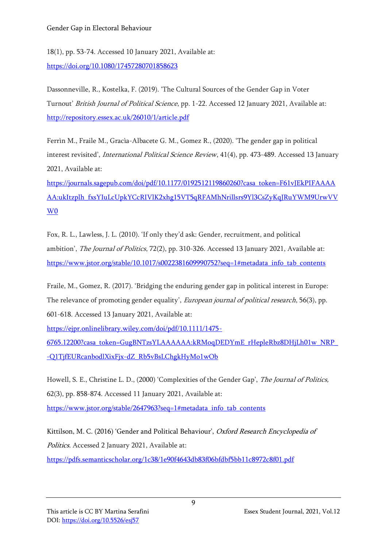18(1), pp. 53-74. Accessed 10 January 2021, Available at: <https://doi.org/10.1080/17457280701858623>

Dassonneville, R., Kostelka, F. (2019). 'The Cultural Sources of the Gender Gap in Voter Turnout' British Journal of Political Science, pp. 1-22. Accessed 12 January 2021, Available at: <http://repository.essex.ac.uk/26010/1/article.pdf>

Ferrìn M., Fraile M., Gracìa-Albacete G. M., Gomez R., (2020). 'The gender gap in political interest revisited', *International Political Science Review*, 41(4), pp. 473-489. Accessed 13 January 2021, Available at:

[https://journals.sagepub.com/doi/pdf/10.1177/0192512119860260?casa\\_token=F61vJEkPIFAAAA](https://journals.sagepub.com/doi/pdf/10.1177/0192512119860260?casa_token=F61vJEkPIFAAAAAA:ukItzplh_fxsYIuLcUpkYCcRIVlK2xhg15VT5qRFAMhNrillsrs9Yl3CsZyKqJRuYWM9UrwVVW0) [AA:ukItzplh\\_fxsYIuLcUpkYCcRIVlK2xhg15VT5qRFAMhNrillsrs9Yl3CsZyKqJRuYWM9UrwVV](https://journals.sagepub.com/doi/pdf/10.1177/0192512119860260?casa_token=F61vJEkPIFAAAAAA:ukItzplh_fxsYIuLcUpkYCcRIVlK2xhg15VT5qRFAMhNrillsrs9Yl3CsZyKqJRuYWM9UrwVVW0) [W0](https://journals.sagepub.com/doi/pdf/10.1177/0192512119860260?casa_token=F61vJEkPIFAAAAAA:ukItzplh_fxsYIuLcUpkYCcRIVlK2xhg15VT5qRFAMhNrillsrs9Yl3CsZyKqJRuYWM9UrwVVW0)

Fox, R. L., Lawless, J. L. (2010). 'If only they'd ask: Gender, recruitment, and political ambition', The Journal of Politics, 72(2), pp. 310-326. Accessed 13 January 2021, Available at: [https://www.jstor.org/stable/10.1017/s0022381609990752?seq=1#metadata\\_info\\_tab\\_contents](https://www.jstor.org/stable/10.1017/s0022381609990752?seq=1#metadata_info_tab_contents)

Fraile, M., Gomez, R. (2017). 'Bridging the enduring gender gap in political interest in Europe: The relevance of promoting gender equality', *European journal of political research*, 56(3), pp. 601-618. Accessed 13 January 2021, Available at:

[https://ejpr.onlinelibrary.wiley.com/doi/pdf/10.1111/1475-](https://ejpr.onlinelibrary.wiley.com/doi/pdf/10.1111/1475-6765.12200?casa_token=GugBNTzsYLAAAAAA:kRMoqDEDYmE_rHepleRbz8DHjLh01w_NRP_-Q1TjfEURcanbodlXixFjx-dZ_Rb5vBsLChgkHyMo1wOb)

[6765.12200?casa\\_token=GugBNTzsYLAAAAAA:kRMoqDEDYmE\\_rHepleRbz8DHjLh01w\\_NRP\\_](https://ejpr.onlinelibrary.wiley.com/doi/pdf/10.1111/1475-6765.12200?casa_token=GugBNTzsYLAAAAAA:kRMoqDEDYmE_rHepleRbz8DHjLh01w_NRP_-Q1TjfEURcanbodlXixFjx-dZ_Rb5vBsLChgkHyMo1wOb) [-Q1TjfEURcanbodlXixFjx-dZ\\_Rb5vBsLChgkHyMo1wOb](https://ejpr.onlinelibrary.wiley.com/doi/pdf/10.1111/1475-6765.12200?casa_token=GugBNTzsYLAAAAAA:kRMoqDEDYmE_rHepleRbz8DHjLh01w_NRP_-Q1TjfEURcanbodlXixFjx-dZ_Rb5vBsLChgkHyMo1wOb)

Howell, S. E., Christine L. D., (2000) 'Complexities of the Gender Gap', The Journal of Politics, 62(3), pp. 858-874. Accessed 11 January 2021, Available at:

[https://www.jstor.org/stable/2647963?seq=1#metadata\\_info\\_tab\\_contents](https://www.jstor.org/stable/2647963?seq=1#metadata_info_tab_contents)

Kittilson, M. C. (2016) 'Gender and Political Behaviour', Oxford Research Encyclopedia of Politics. Accessed 2 January 2021, Available at:

<https://pdfs.semanticscholar.org/1c38/1e90f4643db83f06bfdbf5bb11c8972c8f01.pdf>